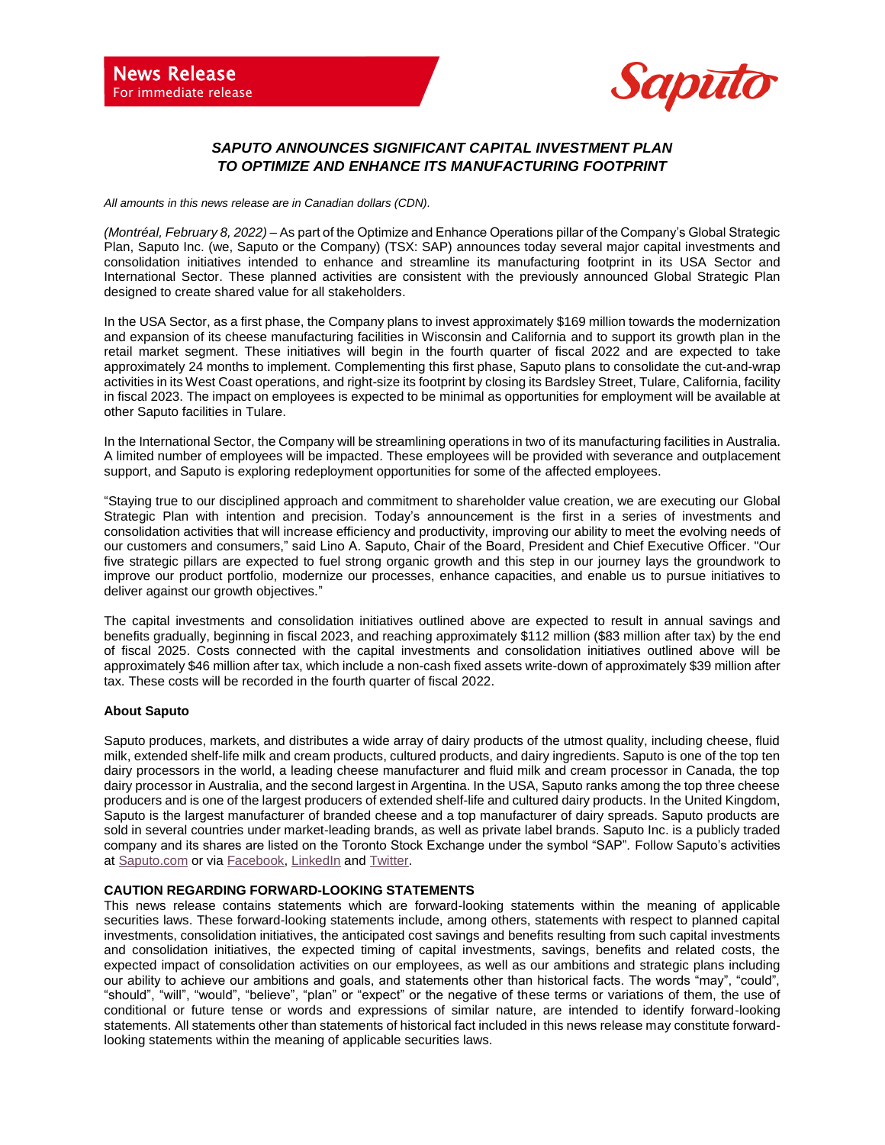

## *SAPUTO ANNOUNCES SIGNIFICANT CAPITAL INVESTMENT PLAN TO OPTIMIZE AND ENHANCE ITS MANUFACTURING FOOTPRINT*

*All amounts in this news release are in Canadian dollars (CDN).*

*(Montréal, February 8, 2022)* – As part of the Optimize and Enhance Operations pillar of the Company's Global Strategic Plan, Saputo Inc. (we, Saputo or the Company) (TSX: SAP) announces today several major capital investments and consolidation initiatives intended to enhance and streamline its manufacturing footprint in its USA Sector and International Sector. These planned activities are consistent with the previously announced Global Strategic Plan designed to create shared value for all stakeholders.

In the USA Sector, as a first phase, the Company plans to invest approximately \$169 million towards the modernization and expansion of its cheese manufacturing facilities in Wisconsin and California and to support its growth plan in the retail market segment. These initiatives will begin in the fourth quarter of fiscal 2022 and are expected to take approximately 24 months to implement. Complementing this first phase, Saputo plans to consolidate the cut-and-wrap activities in its West Coast operations, and right-size its footprint by closing its Bardsley Street, Tulare, California, facility in fiscal 2023. The impact on employees is expected to be minimal as opportunities for employment will be available at other Saputo facilities in Tulare.

In the International Sector, the Company will be streamlining operations in two of its manufacturing facilities in Australia. A limited number of employees will be impacted. These employees will be provided with severance and outplacement support, and Saputo is exploring redeployment opportunities for some of the affected employees.

"Staying true to our disciplined approach and commitment to shareholder value creation, we are executing our Global Strategic Plan with intention and precision. Today's announcement is the first in a series of investments and consolidation activities that will increase efficiency and productivity, improving our ability to meet the evolving needs of our customers and consumers," said Lino A. Saputo, Chair of the Board, President and Chief Executive Officer. "Our five strategic pillars are expected to fuel strong organic growth and this step in our journey lays the groundwork to improve our product portfolio, modernize our processes, enhance capacities, and enable us to pursue initiatives to deliver against our growth objectives."

The capital investments and consolidation initiatives outlined above are expected to result in annual savings and benefits gradually, beginning in fiscal 2023, and reaching approximately \$112 million (\$83 million after tax) by the end of fiscal 2025. Costs connected with the capital investments and consolidation initiatives outlined above will be approximately \$46 million after tax, which include a non-cash fixed assets write-down of approximately \$39 million after tax. These costs will be recorded in the fourth quarter of fiscal 2022.

## **About Saputo**

Saputo produces, markets, and distributes a wide array of dairy products of the utmost quality, including cheese, fluid milk, extended shelf-life milk and cream products, cultured products, and dairy ingredients. Saputo is one of the top ten dairy processors in the world, a leading cheese manufacturer and fluid milk and cream processor in Canada, the top dairy processor in Australia, and the second largest in Argentina. In the USA, Saputo ranks among the top three cheese producers and is one of the largest producers of extended shelf-life and cultured dairy products. In the United Kingdom, Saputo is the largest manufacturer of branded cheese and a top manufacturer of dairy spreads. Saputo products are sold in several countries under market-leading brands, as well as private label brands. Saputo Inc. is a publicly traded company and its shares are listed on the Toronto Stock Exchange under the symbol "SAP". Follow Saputo's activities at [Saputo.com](http://www.saputo.com/en/) or via [Facebook,](https://www.facebook.com/SaputoInc) [LinkedIn](https://www.linkedin.com/company/saputo/posts/?feedView=all) an[d Twitter.](https://twitter.com/SaputoInc)

## **CAUTION REGARDING FORWARD-LOOKING STATEMENTS**

This news release contains statements which are forward-looking statements within the meaning of applicable securities laws. These forward-looking statements include, among others, statements with respect to planned capital investments, consolidation initiatives, the anticipated cost savings and benefits resulting from such capital investments and consolidation initiatives, the expected timing of capital investments, savings, benefits and related costs, the expected impact of consolidation activities on our employees, as well as our ambitions and strategic plans including our ability to achieve our ambitions and goals, and statements other than historical facts. The words "may", "could", "should", "will", "would", "believe", "plan" or "expect" or the negative of these terms or variations of them, the use of conditional or future tense or words and expressions of similar nature, are intended to identify forward-looking statements. All statements other than statements of historical fact included in this news release may constitute forwardlooking statements within the meaning of applicable securities laws.